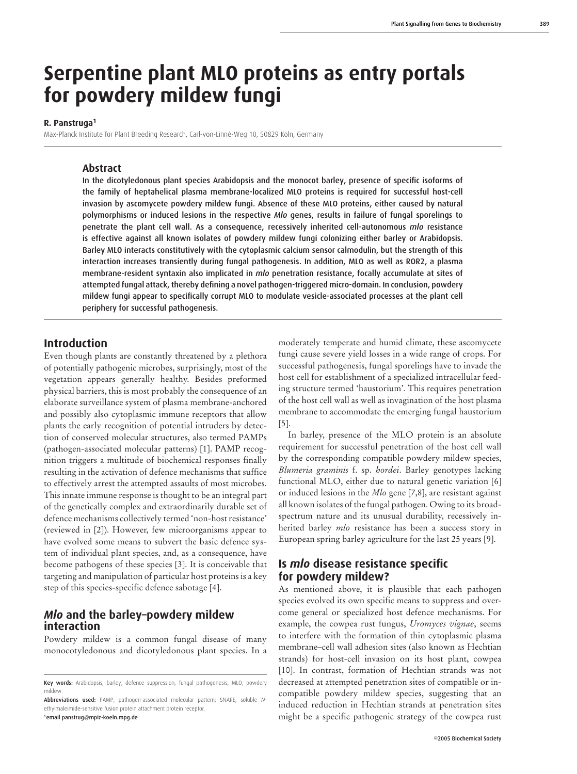# **Serpentine plant MLO proteins as entry portals for powdery mildew fungi**

#### **R. Panstruga<sup>1</sup>**

Max-Planck Institute for Plant Breeding Research, Carl-von-Linné-Weg 10, 50829 Köln, Germany

#### **Abstract**

In the dicotyledonous plant species Arabidopsis and the monocot barley, presence of specific isoforms of the family of heptahelical plasma membrane-localized MLO proteins is required for successful host-cell invasion by ascomycete powdery mildew fungi. Absence of these MLO proteins, either caused by natural polymorphisms or induced lesions in the respective *Mlo* genes, results in failure of fungal sporelings to penetrate the plant cell wall. As a consequence, recessively inherited cell-autonomous *mlo* resistance is effective against all known isolates of powdery mildew fungi colonizing either barley or Arabidopsis. Barley MLO interacts constitutively with the cytoplasmic calcium sensor calmodulin, but the strength of this interaction increases transiently during fungal pathogenesis. In addition, MLO as well as ROR2, a plasma membrane-resident syntaxin also implicated in *mlo* penetration resistance, focally accumulate at sites of attempted fungal attack, thereby defining a novel pathogen-triggered micro-domain. In conclusion, powdery mildew fungi appear to specifically corrupt MLO to modulate vesicle-associated processes at the plant cell periphery for successful pathogenesis.

## **Introduction**

Even though plants are constantly threatened by a plethora of potentially pathogenic microbes, surprisingly, most of the vegetation appears generally healthy. Besides preformed physical barriers, this is most probably the consequence of an elaborate surveillance system of plasma membrane-anchored and possibly also cytoplasmic immune receptors that allow plants the early recognition of potential intruders by detection of conserved molecular structures, also termed PAMPs (pathogen-associated molecular patterns) [1]. PAMP recognition triggers a multitude of biochemical responses finally resulting in the activation of defence mechanisms that suffice to effectively arrest the attempted assaults of most microbes. This innate immune response is thought to be an integral part of the genetically complex and extraordinarily durable set of defence mechanisms collectively termed 'non-host resistance' (reviewed in [2]). However, few microorganisms appear to have evolved some means to subvert the basic defence system of individual plant species, and, as a consequence, have become pathogens of these species [3]. It is conceivable that targeting and manipulation of particular host proteins is a key step of this species-specific defence sabotage [4].

## *Mlo* **and the barley–powdery mildew interaction**

Powdery mildew is a common fungal disease of many monocotyledonous and dicotyledonous plant species. In a

moderately temperate and humid climate, these ascomycete fungi cause severe yield losses in a wide range of crops. For successful pathogenesis, fungal sporelings have to invade the host cell for establishment of a specialized intracellular feeding structure termed 'haustorium'. This requires penetration of the host cell wall as well as invagination of the host plasma membrane to accommodate the emerging fungal haustorium [5].

In barley, presence of the MLO protein is an absolute requirement for successful penetration of the host cell wall by the corresponding compatible powdery mildew species, *Blumeria graminis* f. sp. *hordei*. Barley genotypes lacking functional MLO, either due to natural genetic variation [6] or induced lesions in the *Mlo* gene [7,8], are resistant against all known isolates of the fungal pathogen. Owing to its broadspectrum nature and its unusual durability, recessively inherited barley *mlo* resistance has been a success story in European spring barley agriculture for the last 25 years [9].

## **Is** *mlo* **disease resistance specific for powdery mildew?**

As mentioned above, it is plausible that each pathogen species evolved its own specific means to suppress and overcome general or specialized host defence mechanisms. For example, the cowpea rust fungus, *Uromyces vignae*, seems to interfere with the formation of thin cytoplasmic plasma membrane–cell wall adhesion sites (also known as Hechtian strands) for host-cell invasion on its host plant, cowpea [10]. In contrast, formation of Hechtian strands was not decreased at attempted penetration sites of compatible or incompatible powdery mildew species, suggesting that an induced reduction in Hechtian strands at penetration sites might be a specific pathogenic strategy of the cowpea rust

Key words: Arabidopsis, barley, defence suppression, fungal pathogenesis, MLO, powdery mildew.

Abbreviations used: PAMP, pathogen-associated molecular pattern; SNARE, soluble *N*ethylmaleimide-sensitive fusion protein attachment protein receptor. <sup>1</sup> email panstrug@mpiz-koeln.mpg.de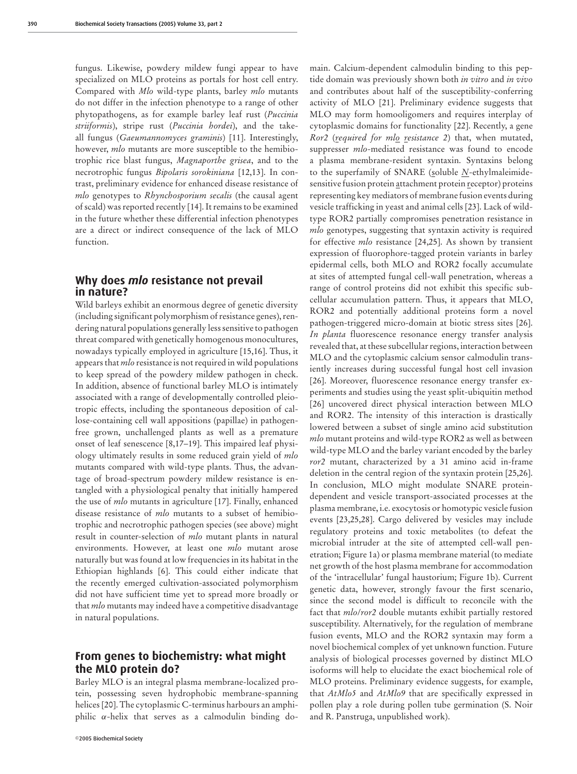fungus. Likewise, powdery mildew fungi appear to have specialized on MLO proteins as portals for host cell entry. Compared with *Mlo* wild-type plants, barley *mlo* mutants do not differ in the infection phenotype to a range of other phytopathogens, as for example barley leaf rust (*Puccinia striiformis*), stripe rust (*Puccinia hordei*), and the takeall fungus (*Gaeumannomyces graminis*) [11]. Interestingly, however, *mlo* mutants are more susceptible to the hemibiotrophic rice blast fungus, *Magnaporthe grisea*, and to the necrotrophic fungus *Bipolaris sorokiniana* [12,13]. In contrast, preliminary evidence for enhanced disease resistance of *mlo* genotypes to *Rhynchosporium secalis* (the causal agent of scald) was reported recently [14]. It remains to be examined in the future whether these differential infection phenotypes are a direct or indirect consequence of the lack of MLO function.

## **Why does** *mlo* **resistance not prevail in nature?**

Wild barleys exhibit an enormous degree of genetic diversity (including significant polymorphism of resistance genes), rendering natural populations generally less sensitive to pathogen threat compared with genetically homogenous monocultures, nowadays typically employed in agriculture [15,16]. Thus, it appears that *mlo* resistance is not required in wild populations to keep spread of the powdery mildew pathogen in check. In addition, absence of functional barley MLO is intimately associated with a range of developmentally controlled pleiotropic effects, including the spontaneous deposition of callose-containing cell wall appositions (papillae) in pathogenfree grown, unchallenged plants as well as a premature onset of leaf senescence [8,17–19]. This impaired leaf physiology ultimately results in some reduced grain yield of *mlo* mutants compared with wild-type plants. Thus, the advantage of broad-spectrum powdery mildew resistance is entangled with a physiological penalty that initially hampered the use of *mlo* mutants in agriculture [17]. Finally, enhanced disease resistance of *mlo* mutants to a subset of hemibiotrophic and necrotrophic pathogen species (see above) might result in counter-selection of *mlo* mutant plants in natural environments. However, at least one *mlo* mutant arose naturally but was found at low frequencies in its habitat in the Ethiopian highlands [6]. This could either indicate that the recently emerged cultivation-associated polymorphism did not have sufficient time yet to spread more broadly or that *mlo* mutants may indeed have a competitive disadvantage in natural populations.

## **From genes to biochemistry: what might the MLO protein do?**

Barley MLO is an integral plasma membrane-localized protein, possessing seven hydrophobic membrane-spanning helices [20]. The cytoplasmic C-terminus harbours an amphiphilic  $\alpha$ -helix that serves as a calmodulin binding domain. Calcium-dependent calmodulin binding to this peptide domain was previously shown both *in vitro* and *in vivo* and contributes about half of the susceptibility-conferring activity of MLO [21]. Preliminary evidence suggests that MLO may form homooligomers and requires interplay of cytoplasmic domains for functionality [22]. Recently, a gene *Ror2* (*required for mlo resistance 2*) that, when mutated, suppresser *mlo*-mediated resistance was found to encode a plasma membrane-resident syntaxin. Syntaxins belong to the superfamily of SNARE (soluble *N*-ethylmaleimidesensitive fusion protein attachment protein receptor) proteins representing key mediators of membrane fusion events during vesicle trafficking in yeast and animal cells [23]. Lack of wildtype ROR2 partially compromises penetration resistance in *mlo* genotypes, suggesting that syntaxin activity is required for effective *mlo* resistance [24,25]. As shown by transient expression of fluorophore-tagged protein variants in barley epidermal cells, both MLO and ROR2 focally accumulate at sites of attempted fungal cell-wall penetration, whereas a range of control proteins did not exhibit this specific subcellular accumulation pattern. Thus, it appears that MLO, ROR2 and potentially additional proteins form a novel pathogen-triggered micro-domain at biotic stress sites [26]. *In planta* fluorescence resonance energy transfer analysis revealed that, at these subcellular regions, interaction between MLO and the cytoplasmic calcium sensor calmodulin transiently increases during successful fungal host cell invasion [26]. Moreover, fluorescence resonance energy transfer experiments and studies using the yeast split-ubiquitin method [26] uncovered direct physical interaction between MLO and ROR2. The intensity of this interaction is drastically lowered between a subset of single amino acid substitution *mlo* mutant proteins and wild-type ROR2 as well as between wild-type MLO and the barley variant encoded by the barley *ror2* mutant, characterized by a 31 amino acid in-frame deletion in the central region of the syntaxin protein [25,26]. In conclusion, MLO might modulate SNARE proteindependent and vesicle transport-associated processes at the plasma membrane, i.e. exocytosis or homotypic vesicle fusion events [23,25,28]. Cargo delivered by vesicles may include regulatory proteins and toxic metabolites (to defeat the microbial intruder at the site of attempted cell-wall penetration; Figure 1a) or plasma membrane material (to mediate net growth of the host plasma membrane for accommodation of the 'intracellular' fungal haustorium; Figure 1b). Current genetic data, however, strongly favour the first scenario, since the second model is difficult to reconcile with the fact that *mlo*/*ror2* double mutants exhibit partially restored susceptibility. Alternatively, for the regulation of membrane fusion events, MLO and the ROR2 syntaxin may form a novel biochemical complex of yet unknown function. Future analysis of biological processes governed by distinct MLO isoforms will help to elucidate the exact biochemical role of MLO proteins. Preliminary evidence suggests, for example, that *AtMlo5* and *AtMlo9* that are specifically expressed in pollen play a role during pollen tube germination (S. Noir and R. Panstruga, unpublished work).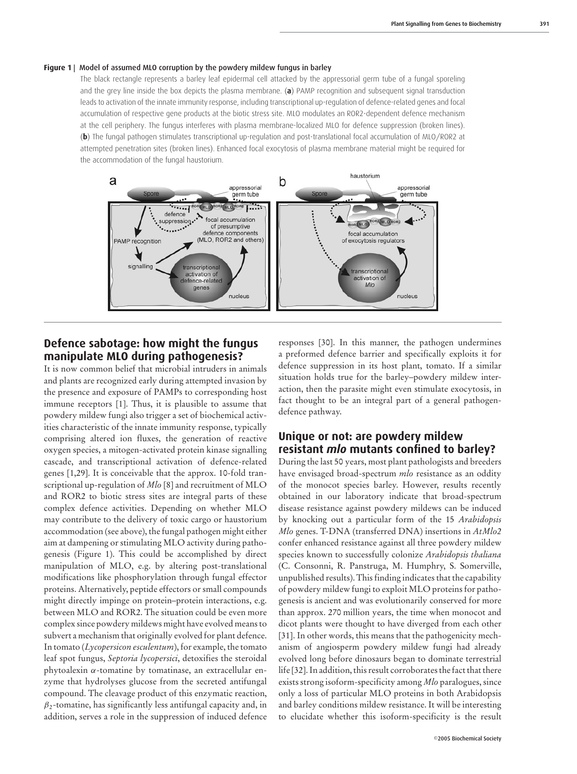#### Figure 1 | Model of assumed MLO corruption by the powdery mildew fungus in barley

The black rectangle represents a barley leaf epidermal cell attacked by the appressorial germ tube of a fungal sporeling and the grey line inside the box depicts the plasma membrane. (**a**) PAMP recognition and subsequent signal transduction leads to activation of the innate immunity response, including transcriptional up-regulation of defence-related genes and focal accumulation of respective gene products at the biotic stress site. MLO modulates an ROR2-dependent defence mechanism at the cell periphery. The fungus interferes with plasma membrane-localized MLO for defence suppression (broken lines). (**b**) The fungal pathogen stimulates transcriptional up-regulation and post-translational focal accumulation of MLO/ROR2 at attempted penetration sites (broken lines). Enhanced focal exocytosis of plasma membrane material might be required for the accommodation of the fungal haustorium.



# **Defence sabotage: how might the fungus manipulate MLO during pathogenesis?**

It is now common belief that microbial intruders in animals and plants are recognized early during attempted invasion by the presence and exposure of PAMPs to corresponding host immune receptors [1]. Thus, it is plausible to assume that powdery mildew fungi also trigger a set of biochemical activities characteristic of the innate immunity response, typically comprising altered ion fluxes, the generation of reactive oxygen species, a mitogen-activated protein kinase signalling cascade, and transcriptional activation of defence-related genes [1,29]. It is conceivable that the approx. 10-fold transcriptional up-regulation of *Mlo* [8] and recruitment of MLO and ROR2 to biotic stress sites are integral parts of these complex defence activities. Depending on whether MLO may contribute to the delivery of toxic cargo or haustorium accommodation (see above), the fungal pathogen might either aim at dampening or stimulating MLO activity during pathogenesis (Figure 1). This could be accomplished by direct manipulation of MLO, e.g. by altering post-translational modifications like phosphorylation through fungal effector proteins. Alternatively, peptide effectors or small compounds might directly impinge on protein–protein interactions, e.g. between MLO and ROR2. The situation could be even more complex since powdery mildews might have evolved means to subvert a mechanism that originally evolved for plant defence. In tomato (*Lycopersicon esculentum*), for example, the tomato leaf spot fungus, *Septoria lycopersici*, detoxifies the steroidal phytoalexin α-tomatine by tomatinase, an extracellular enzyme that hydrolyses glucose from the secreted antifungal compound. The cleavage product of this enzymatic reaction,  $\beta_2$ -tomatine, has significantly less antifungal capacity and, in addition, serves a role in the suppression of induced defence

responses [30]. In this manner, the pathogen undermines a preformed defence barrier and specifically exploits it for defence suppression in its host plant, tomato. If a similar situation holds true for the barley–powdery mildew interaction, then the parasite might even stimulate exocytosis, in fact thought to be an integral part of a general pathogendefence pathway.

# **Unique or not: are powdery mildew resistant** *mlo* **mutants confined to barley?**

During the last 50 years, most plant pathologists and breeders have envisaged broad-spectrum *mlo* resistance as an oddity of the monocot species barley. However, results recently obtained in our laboratory indicate that broad-spectrum disease resistance against powdery mildews can be induced by knocking out a particular form of the 15 *Arabidopsis Mlo* genes. T-DNA (transferred DNA) insertions in *AtMlo2* confer enhanced resistance against all three powdery mildew species known to successfully colonize *Arabidopsis thaliana* (C. Consonni, R. Panstruga, M. Humphry, S. Somerville, unpublished results). This finding indicates that the capability of powdery mildew fungi to exploit MLO proteins for pathogenesis is ancient and was evolutionarily conserved for more than approx. 270 million years, the time when monocot and dicot plants were thought to have diverged from each other [31]. In other words, this means that the pathogenicity mechanism of angiosperm powdery mildew fungi had already evolved long before dinosaurs began to dominate terrestrial life [32]. In addition, this result corroborates the fact that there exists strong isoform-specificity among *Mlo* paralogues, since only a loss of particular MLO proteins in both Arabidopsis and barley conditions mildew resistance. It will be interesting to elucidate whether this isoform-specificity is the result